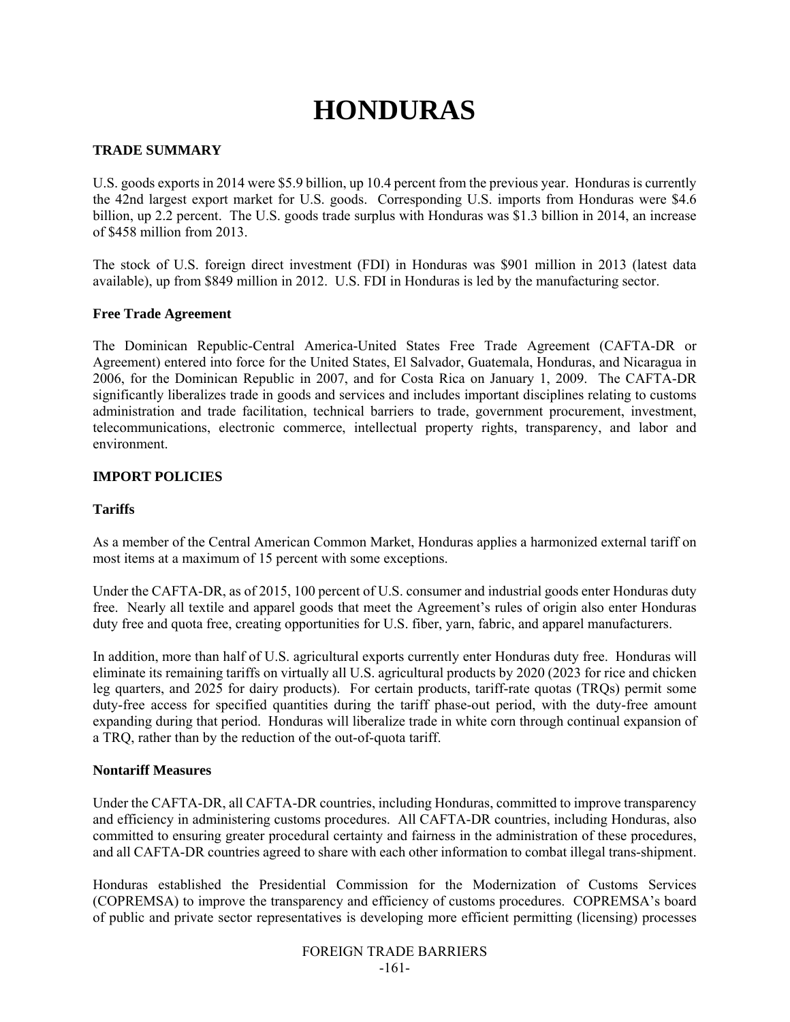# **HONDURAS**

## **TRADE SUMMARY**

U.S. goods exports in 2014 were \$5.9 billion, up 10.4 percent from the previous year. Honduras is currently the 42nd largest export market for U.S. goods. Corresponding U.S. imports from Honduras were \$4.6 billion, up 2.2 percent. The U.S. goods trade surplus with Honduras was \$1.3 billion in 2014, an increase of \$458 million from 2013.

The stock of U.S. foreign direct investment (FDI) in Honduras was \$901 million in 2013 (latest data available), up from \$849 million in 2012. U.S. FDI in Honduras is led by the manufacturing sector.

#### **Free Trade Agreement**

The Dominican Republic-Central America-United States Free Trade Agreement (CAFTA-DR or Agreement) entered into force for the United States, El Salvador, Guatemala, Honduras, and Nicaragua in 2006, for the Dominican Republic in 2007, and for Costa Rica on January 1, 2009. The CAFTA-DR significantly liberalizes trade in goods and services and includes important disciplines relating to customs administration and trade facilitation, technical barriers to trade, government procurement, investment, telecommunications, electronic commerce, intellectual property rights, transparency, and labor and environment.

#### **IMPORT POLICIES**

#### **Tariffs**

As a member of the Central American Common Market, Honduras applies a harmonized external tariff on most items at a maximum of 15 percent with some exceptions.

Under the CAFTA-DR, as of 2015, 100 percent of U.S. consumer and industrial goods enter Honduras duty free. Nearly all textile and apparel goods that meet the Agreement's rules of origin also enter Honduras duty free and quota free, creating opportunities for U.S. fiber, yarn, fabric, and apparel manufacturers.

In addition, more than half of U.S. agricultural exports currently enter Honduras duty free. Honduras will eliminate its remaining tariffs on virtually all U.S. agricultural products by 2020 (2023 for rice and chicken leg quarters, and 2025 for dairy products). For certain products, tariff-rate quotas (TRQs) permit some duty-free access for specified quantities during the tariff phase-out period, with the duty-free amount expanding during that period. Honduras will liberalize trade in white corn through continual expansion of a TRQ, rather than by the reduction of the out-of-quota tariff.

#### **Nontariff Measures**

Under the CAFTA-DR, all CAFTA-DR countries, including Honduras, committed to improve transparency and efficiency in administering customs procedures. All CAFTA-DR countries, including Honduras, also committed to ensuring greater procedural certainty and fairness in the administration of these procedures, and all CAFTA-DR countries agreed to share with each other information to combat illegal trans-shipment.

Honduras established the Presidential Commission for the Modernization of Customs Services (COPREMSA) to improve the transparency and efficiency of customs procedures. COPREMSA's board of public and private sector representatives is developing more efficient permitting (licensing) processes

> FOREIGN TRADE BARRIERS -161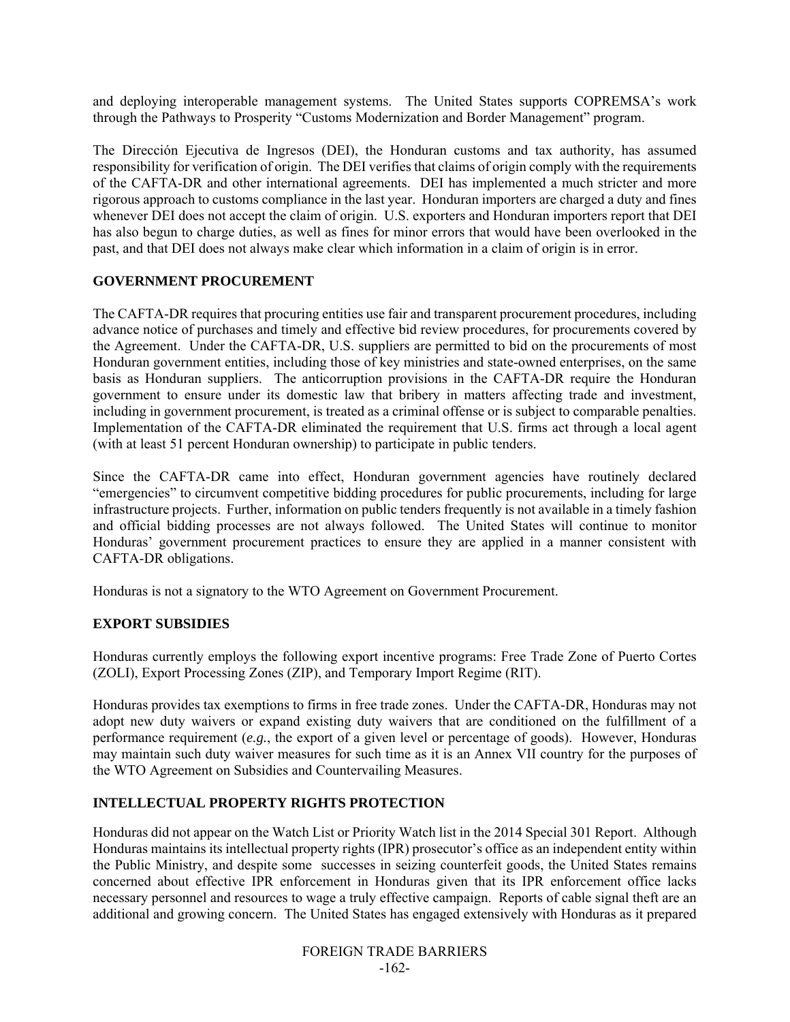and deploying interoperable management systems. The United States supports COPREMSA's work through the Pathways to Prosperity "Customs Modernization and Border Management" program.

The Dirección Ejecutiva de Ingresos (DEI), the Honduran customs and tax authority, has assumed responsibility for verification of origin. The DEI verifies that claims of origin comply with the requirements of the CAFTA-DR and other international agreements. DEI has implemented a much stricter and more rigorous approach to customs compliance in the last year. Honduran importers are charged a duty and fines whenever DEI does not accept the claim of origin. U.S. exporters and Honduran importers report that DEI has also begun to charge duties, as well as fines for minor errors that would have been overlooked in the past, and that DEI does not always make clear which information in a claim of origin is in error.

## **GOVERNMENT PROCUREMENT**

The CAFTA-DR requires that procuring entities use fair and transparent procurement procedures, including advance notice of purchases and timely and effective bid review procedures, for procurements covered by the Agreement. Under the CAFTA-DR, U.S. suppliers are permitted to bid on the procurements of most Honduran government entities, including those of key ministries and state-owned enterprises, on the same basis as Honduran suppliers. The anticorruption provisions in the CAFTA-DR require the Honduran government to ensure under its domestic law that bribery in matters affecting trade and investment, including in government procurement, is treated as a criminal offense or is subject to comparable penalties. Implementation of the CAFTA-DR eliminated the requirement that U.S. firms act through a local agent (with at least 51 percent Honduran ownership) to participate in public tenders.

Since the CAFTA-DR came into effect, Honduran government agencies have routinely declared "emergencies" to circumvent competitive bidding procedures for public procurements, including for large infrastructure projects. Further, information on public tenders frequently is not available in a timely fashion and official bidding processes are not always followed. The United States will continue to monitor Honduras' government procurement practices to ensure they are applied in a manner consistent with CAFTA-DR obligations.

Honduras is not a signatory to the WTO Agreement on Government Procurement.

#### **EXPORT SUBSIDIES**

Honduras currently employs the following export incentive programs: Free Trade Zone of Puerto Cortes (ZOLI), Export Processing Zones (ZIP), and Temporary Import Regime (RIT).

Honduras provides tax exemptions to firms in free trade zones. Under the CAFTA-DR, Honduras may not adopt new duty waivers or expand existing duty waivers that are conditioned on the fulfillment of a performance requirement (*e.g.*, the export of a given level or percentage of goods). However, Honduras may maintain such duty waiver measures for such time as it is an Annex VII country for the purposes of the WTO Agreement on Subsidies and Countervailing Measures.

# **INTELLECTUAL PROPERTY RIGHTS PROTECTION**

Honduras did not appear on the Watch List or Priority Watch list in the 2014 Special 301 Report. Although Honduras maintains its intellectual property rights (IPR) prosecutor's office as an independent entity within the Public Ministry, and despite some successes in seizing counterfeit goods, the United States remains concerned about effective IPR enforcement in Honduras given that its IPR enforcement office lacks necessary personnel and resources to wage a truly effective campaign. Reports of cable signal theft are an additional and growing concern. The United States has engaged extensively with Honduras as it prepared